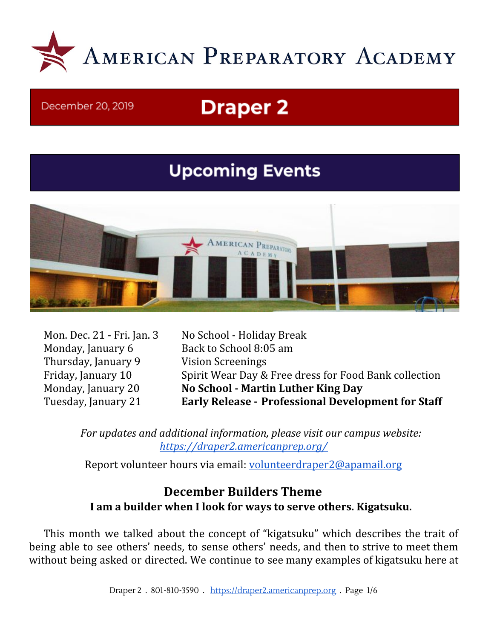

#### December 20, 2019

# **Draper 2**

## **Upcoming Events**



Thursday, January 9 Vision Screenings

Mon. Dec. 21 - Fri. Jan. 3 No School - Holiday Break Monday, January 6 Back to School 8:05 am Friday, January 10 Spirit Wear Day & Free dress for Food Bank collection Monday, January 20 **No School - Martin Luther King Day** Tuesday, January 21 **Early Release - Professional Development for Staff**

*For updates and additional information, please visit our campus website: <https://draper2.americanprep.org/>*

Report volunteer hours via email: [volunteerdraper2@apamail.org](mailto:volunteerdraper2@apamail.org)

## **December Builders Theme I am a builder when I look for ways to serve others. Kigatsuku.**

This month we talked about the concept of "kigatsuku" which describes the trait of being able to see others' needs, to sense others' needs, and then to strive to meet them without being asked or directed. We continue to see many examples of kigatsuku here at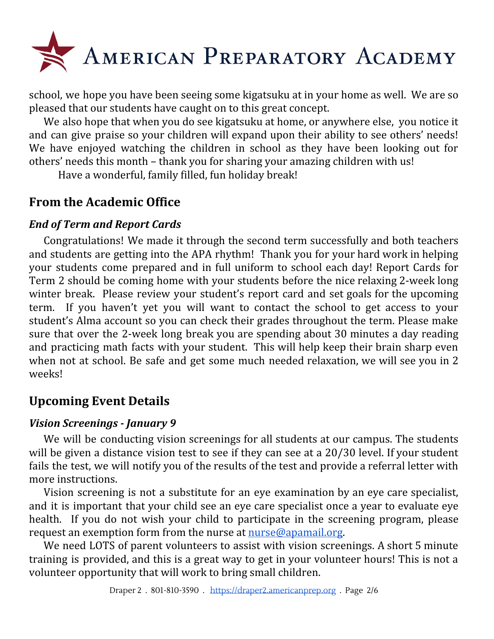

school, we hope you have been seeing some kigatsuku at in your home as well. We are so pleased that our students have caught on to this great concept.

We also hope that when you do see kigatsuku at home, or anywhere else, you notice it and can give praise so your children will expand upon their ability to see others' needs! We have enjoyed watching the children in school as they have been looking out for others' needs this month – thank you for sharing your amazing children with us!

Have a wonderful, family filled, fun holiday break!

## **From the Academic Office**

#### *End of Term and Report Cards*

Congratulations! We made it through the second term successfully and both teachers and students are getting into the APA rhythm! Thank you for your hard work in helping your students come prepared and in full uniform to school each day! Report Cards for Term 2 should be coming home with your students before the nice relaxing 2-week long winter break. Please review your student's report card and set goals for the upcoming term. If you haven't yet you will want to contact the school to get access to your student's Alma account so you can check their grades throughout the term. Please make sure that over the 2-week long break you are spending about 30 minutes a day reading and practicing math facts with your student. This will help keep their brain sharp even when not at school. Be safe and get some much needed relaxation, we will see you in 2 weeks!

## **Upcoming Event Details**

#### *Vision Screenings - January 9*

We will be conducting vision screenings for all students at our campus. The students will be given a distance vision test to see if they can see at a 20/30 level. If your student fails the test, we will notify you of the results of the test and provide a referral letter with more instructions.

Vision screening is not a substitute for an eye examination by an eye care specialist, and it is important that your child see an eye care specialist once a year to evaluate eye health. If you do not wish your child to participate in the screening program, please request an exemption form from the nurse at [nurse@apamail.org.](mailto:nurse@apamail.org)

We need LOTS of parent volunteers to assist with vision screenings. A short 5 minute training is provided, and this is a great way to get in your volunteer hours! This is not a volunteer opportunity that will work to bring small children.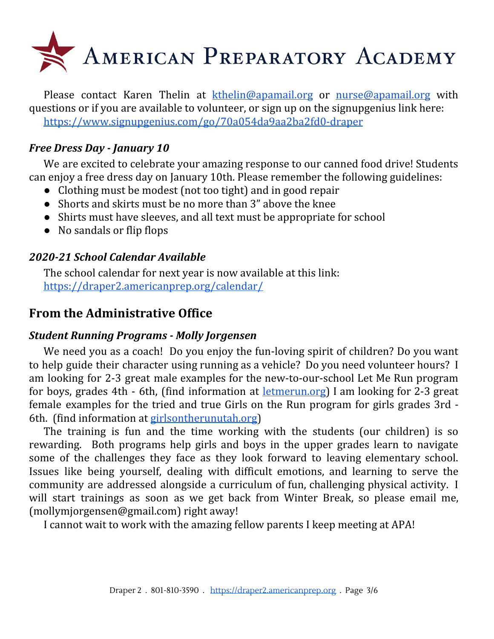

Please contact Karen Thelin at [kthelin@apamail.org](mailto:kthelin@apamail.org) or [nurse@apamail.org](mailto:nurse@apamail.org) with questions or if you are available to volunteer, or sign up on the signupgenius link here: <https://www.signupgenius.com/go/70a054da9aa2ba2fd0-draper>

#### *Free Dress Day - January 10*

We are excited to celebrate your amazing response to our canned food drive! Students can enjoy a free dress day on January 10th. Please remember the following guidelines:

- Clothing must be modest (not too tight) and in good repair
- Shorts and skirts must be no more than 3" above the knee
- Shirts must have sleeves, and all text must be appropriate for school
- No sandals or flip flops

#### *2020-21 School Calendar Available*

The school calendar for next year is now available at this link: <https://draper2.americanprep.org/calendar/>

## **From the Administrative Office**

#### *Student Running Programs - Molly Jorgensen*

We need you as a coach! Do you enjoy the fun-loving spirit of children? Do you want to help guide their character using running as a vehicle? Do you need volunteer hours? I am looking for 2-3 great male examples for the new-to-our-school Let Me Run program for boys, grades 4th - 6th, (find information at [letmerun.org\)](http://letmerun.org/) I am looking for 2-3 great female examples for the tried and true Girls on the Run program for girls grades 3rd - 6th. (find information at [girlsontherunutah.org\)](http://girlsontherunutah.org/)

The training is fun and the time working with the students (our children) is so rewarding. Both programs help girls and boys in the upper grades learn to navigate some of the challenges they face as they look forward to leaving elementary school. Issues like being yourself, dealing with difficult emotions, and learning to serve the community are addressed alongside a curriculum of fun, challenging physical activity. I will start trainings as soon as we get back from Winter Break, so please email me, (mollymjorgensen@gmail.com) right away!

I cannot wait to work with the amazing fellow parents I keep meeting at APA!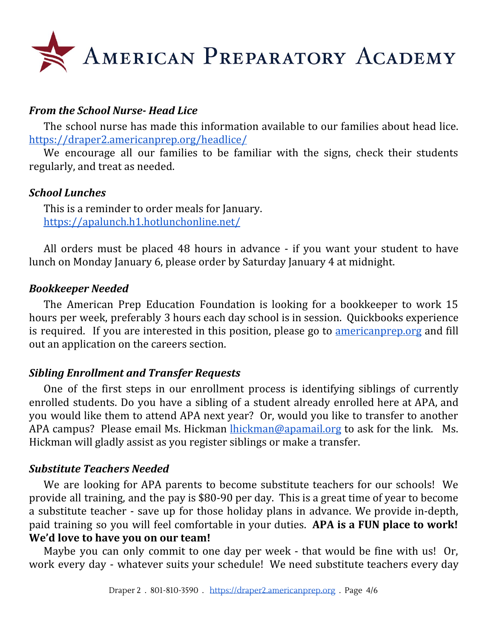

#### *From the School Nurse- Head Lice*

The school nurse has made this information available to our families about head lice. <https://draper2.americanprep.org/headlice/>

We encourage all our families to be familiar with the signs, check their students regularly, and treat as needed.

#### *School Lunches*

This is a reminder to order meals for January. <https://apalunch.h1.hotlunchonline.net/>

All orders must be placed 48 hours in advance - if you want your student to have lunch on Monday January 6, please order by Saturday January 4 at midnight.

#### *Bookkeeper Needed*

The American Prep Education Foundation is looking for a bookkeeper to work 15 hours per week, preferably 3 hours each day school is in session. Quickbooks experience is required. If you are interested in this position, please go to <u>[americanprep.org](http://americanprep.org/)</u> and fill out an application on the careers section.

#### *Sibling Enrollment and Transfer Requests*

One of the first steps in our enrollment process is identifying siblings of currently enrolled students. Do you have a sibling of a student already enrolled here at APA, and you would like them to attend APA next year? Or, would you like to transfer to another APA campus? Please email Ms. Hickman [lhickman@apamail.org](mailto:lhickman@apamail.org) to ask for the link. Ms. Hickman will gladly assist as you register siblings or make a transfer.

#### *Substitute Teachers Needed*

We are looking for APA parents to become substitute teachers for our schools! We provide all training, and the pay is \$80-90 per day. This is a great time of year to become a substitute teacher - save up for those holiday plans in advance. We provide in-depth, paid training so you will feel comfortable in your duties. **APA is a FUN place to work! We'd love to have you on our team!**

Maybe you can only commit to one day per week - that would be fine with us! Or, work every day - whatever suits your schedule! We need substitute teachers every day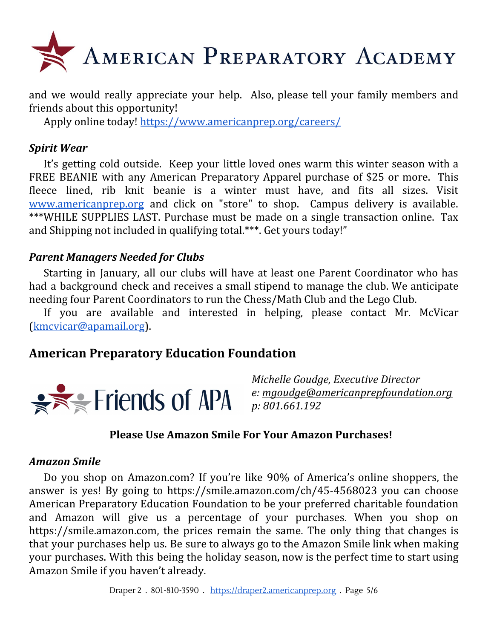

and we would really appreciate your help. Also, please tell your family members and friends about this opportunity!

Apply online today! <https://www.americanprep.org/careers/>

#### *Spirit Wear*

It's getting cold outside. Keep your little loved ones warm this winter season with a FREE BEANIE with any American Preparatory Apparel purchase of \$25 or more. This fleece lined, rib knit beanie is a winter must have, and fits all sizes. Visit [www.americanprep.org](http://www.americanprep.org/) and click on "store" to shop. Campus delivery is available. \*\*\*WHILE SUPPLIES LAST. Purchase must be made on a single transaction online. Tax and Shipping not included in qualifying total.\*\*\*. Get yours today!"

#### *Parent Managers Needed for Clubs*

Starting in January, all our clubs will have at least one Parent Coordinator who has had a background check and receives a small stipend to manage the club. We anticipate needing four Parent Coordinators to run the Chess/Math Club and the Lego Club.

If you are available and interested in helping, please contact Mr. McVicar [\(kmcvicar@apamail.org](mailto:kmcvicar@apamail.org)).

## **American Preparatory Education Foundation**



*Michelle Goudge, Executive Director e: [mgoudge@americanprepfoundation.org](mailto:mgoudge@americanprepfoundation.org) p: 801.661.192*

#### **Please Use Amazon Smile For Your Amazon Purchases!**

#### *Amazon Smile*

Do you shop on Amazon.com? If you're like 90% of America's online shoppers, the answer is yes! By going to <https://smile.amazon.com/ch/45-4568023> you can choose American Preparatory Education Foundation to be your preferred charitable foundation and Amazon will give us a percentage of your purchases. When you shop on [https://smile.amazon.com](https://smile.amazon.com/), the prices remain the same. The only thing that changes is that your purchases help us. Be sure to always go to the Amazon Smile link when making your purchases. With this being the holiday season, now is the perfect time to start using Amazon Smile if you haven't already.